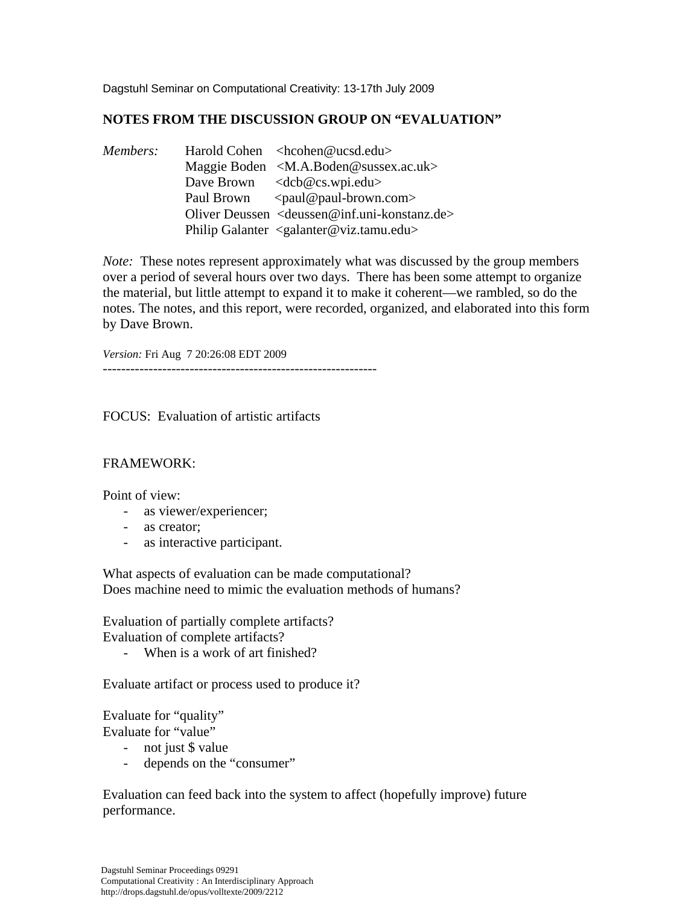Dagstuhl Seminar on Computational Creativity: 13-17th July 2009

# **NOTES FROM THE DISCUSSION GROUP ON "EVALUATION"**

*Members:* Harold Cohen <hcohen@ucsd.edu> Maggie Boden < M.A.Boden@sussex.ac.uk> Dave Brown <dcb@cs.wpi.edu> Paul Brown <paul@paul-brown.com> Oliver Deussen <deussen@inf.uni-konstanz.de> Philip Galanter <galanter@viz.tamu.edu>

*Note:* These notes represent approximately what was discussed by the group members over a period of several hours over two days. There has been some attempt to organize the material, but little attempt to expand it to make it coherent—we rambled, so do the notes. The notes, and this report, were recorded, organized, and elaborated into this form by Dave Brown.

*Version:* Fri Aug 7 20:26:08 EDT 2009

------------------------------------------------------------

FOCUS: Evaluation of artistic artifacts

### FRAMEWORK:

Point of view:

- as viewer/experiencer;
- as creator;
- as interactive participant.

What aspects of evaluation can be made computational? Does machine need to mimic the evaluation methods of humans?

Evaluation of partially complete artifacts? Evaluation of complete artifacts?

When is a work of art finished?

Evaluate artifact or process used to produce it?

Evaluate for "quality" Evaluate for "value"

- not just \$ value
- depends on the "consumer"

Evaluation can feed back into the system to affect (hopefully improve) future performance.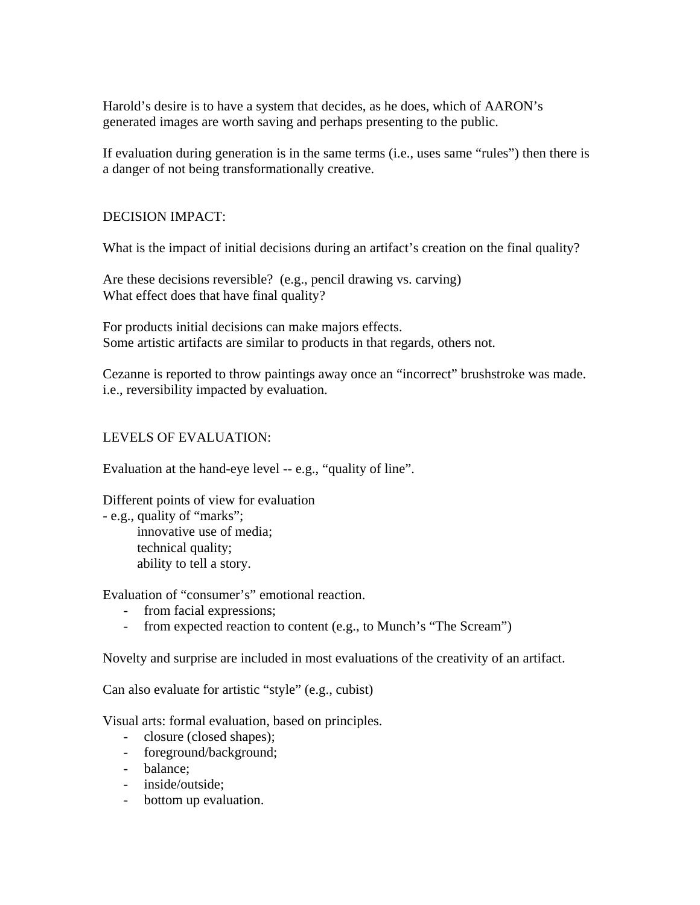Harold's desire is to have a system that decides, as he does, which of AARON's generated images are worth saving and perhaps presenting to the public.

If evaluation during generation is in the same terms (i.e., uses same "rules") then there is a danger of not being transformationally creative.

## DECISION IMPACT:

What is the impact of initial decisions during an artifact's creation on the final quality?

Are these decisions reversible? (e.g., pencil drawing vs. carving) What effect does that have final quality?

For products initial decisions can make majors effects. Some artistic artifacts are similar to products in that regards, others not.

Cezanne is reported to throw paintings away once an "incorrect" brushstroke was made. i.e., reversibility impacted by evaluation.

# LEVELS OF EVALUATION:

Evaluation at the hand-eye level -- e.g., "quality of line".

Different points of view for evaluation

- e.g., quality of "marks";

 innovative use of media; technical quality; ability to tell a story.

Evaluation of "consumer's" emotional reaction.

- from facial expressions;
- from expected reaction to content (e.g., to Munch's "The Scream")

Novelty and surprise are included in most evaluations of the creativity of an artifact.

Can also evaluate for artistic "style" (e.g., cubist)

Visual arts: formal evaluation, based on principles.

- closure (closed shapes);
- foreground/background;
- balance;
- inside/outside;
- bottom up evaluation.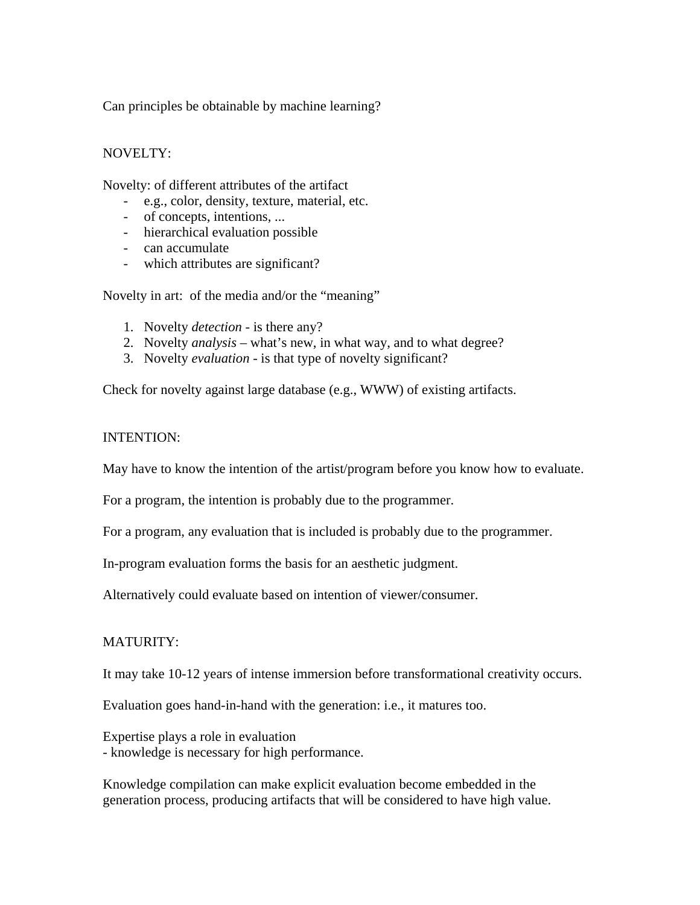Can principles be obtainable by machine learning?

## NOVELTY:

Novelty: of different attributes of the artifact

- e.g., color, density, texture, material, etc.
- of concepts, intentions, ...
- hierarchical evaluation possible
- can accumulate
- which attributes are significant?

Novelty in art: of the media and/or the "meaning"

- 1. Novelty *detection* is there any?
- 2. Novelty *analysis* what's new, in what way, and to what degree?
- 3. Novelty *evaluation* is that type of novelty significant?

Check for novelty against large database (e.g., WWW) of existing artifacts.

#### INTENTION:

May have to know the intention of the artist/program before you know how to evaluate.

For a program, the intention is probably due to the programmer.

For a program, any evaluation that is included is probably due to the programmer.

In-program evaluation forms the basis for an aesthetic judgment.

Alternatively could evaluate based on intention of viewer/consumer.

### MATURITY:

It may take 10-12 years of intense immersion before transformational creativity occurs.

Evaluation goes hand-in-hand with the generation: i.e., it matures too.

Expertise plays a role in evaluation - knowledge is necessary for high performance.

Knowledge compilation can make explicit evaluation become embedded in the generation process, producing artifacts that will be considered to have high value.